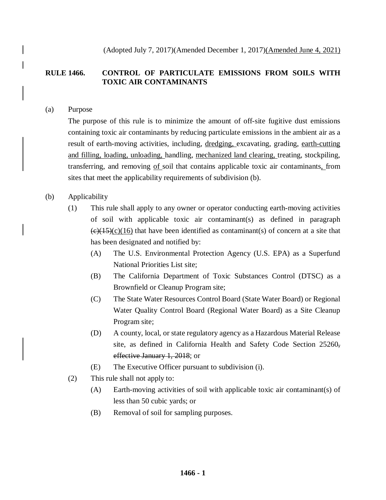(Adopted July 7, 2017)(Amended December 1, 2017)(Amended June 4, 2021)

## **RULE 1466. CONTROL OF PARTICULATE EMISSIONS FROM SOILS WITH TOXIC AIR CONTAMINANTS**

### (a) Purpose

The purpose of this rule is to minimize the amount of off-site fugitive dust emissions containing toxic air contaminants by reducing particulate emissions in the ambient air as a result of earth-moving activities, including, dredging, excavating, grading, earth-cutting and filling, loading, unloading, handling, mechanized land clearing, treating, stockpiling, transferring, and removing of soil that contains applicable toxic air contaminants, from sites that meet the applicability requirements of subdivision (b).

### (b) Applicability

- (1) This rule shall apply to any owner or operator conducting earth-moving activities of soil with applicable toxic air contaminant(s) as defined in paragraph  $(e)(15)(c)(16)$  that have been identified as contaminant(s) of concern at a site that has been designated and notified by:
	- (A) The U.S. Environmental Protection Agency (U.S. EPA) as a Superfund National Priorities List site;
	- (B) The California Department of Toxic Substances Control (DTSC) as a Brownfield or Cleanup Program site;
	- (C) The State Water Resources Control Board (State Water Board) or Regional Water Quality Control Board (Regional Water Board) as a Site Cleanup Program site;
	- (D) A county, local, or state regulatory agency as a Hazardous Material Release site, as defined in California Health and Safety Code Section 25260, effective January 1, 2018; or
	- (E) The Executive Officer pursuant to subdivision (i).
- (2) This rule shall not apply to:
	- (A) Earth-moving activities of soil with applicable toxic air contaminant(s) of less than 50 cubic yards; or
	- (B) Removal of soil for sampling purposes.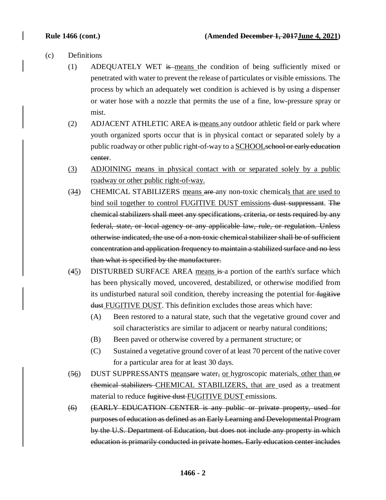- (c) Definitions
	- (1) ADEQUATELY WET is means the condition of being sufficiently mixed or penetrated with water to prevent the release of particulates or visible emissions. The process by which an adequately wet condition is achieved is by using a dispenser or water hose with a nozzle that permits the use of a fine, low-pressure spray or mist.
	- (2) ADJACENT ATHLETIC AREA is means any outdoor athletic field or park where youth organized sports occur that is in physical contact or separated solely by a public roadway or other public right-of-way to a SCHOOLschool or early education center.
	- (3) ADJOINING means in physical contact with or separated solely by a public roadway or other public right-of-way.
	- (34) CHEMICAL STABILIZERS means are any non-toxic chemicals that are used to bind soil together to control FUGITIVE DUST emissions-dust suppressant. The chemical stabilizers shall meet any specifications, criteria, or tests required by any federal, state, or local agency or any applicable law, rule, or regulation. Unless otherwise indicated, the use of a non-toxic chemical stabilizer shall be of sufficient concentration and application frequency to maintain a stabilized surface and no less than what is specified by the manufacturer.
	- $(45)$  DISTURBED SURFACE AREA means is a portion of the earth's surface which has been physically moved, uncovered, destabilized, or otherwise modified from its undisturbed natural soil condition, thereby increasing the potential for fugitive dust FUGITIVE DUST. This definition excludes those areas which have:
		- (A) Been restored to a natural state, such that the vegetative ground cover and soil characteristics are similar to adjacent or nearby natural conditions;
		- (B) Been paved or otherwise covered by a permanent structure; or
		- (C) Sustained a vegetative ground cover of at least 70 percent of the native cover for a particular area for at least 30 days.
	- (56) DUST SUPPRESSANTS meansare water, or hygroscopic materials, other than or chemical stabilizers CHEMICAL STABILIZERS, that are used as a treatment material to reduce fugitive dust FUGITIVE DUST emissions.
	- (6) (EARLY EDUCATION CENTER is any public or private property, used for purposes of education as defined as an Early Learning and Developmental Program by the U.S. Department of Education, but does not include any property in which education is primarily conducted in private homes. Early education center includes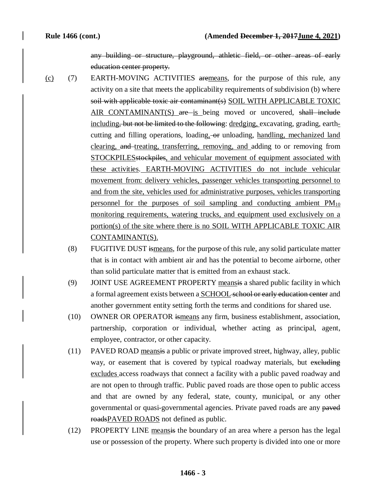any building or structure, playground, athletic field, or other areas of early education center property.

- (c) (7) EARTH-MOVING ACTIVITIES aremeans, for the purpose of this rule, any activity on a site that meets the applicability requirements of subdivision (b) where soil with applicable toxic air contaminant(s) SOIL WITH APPLICABLE TOXIC AIR CONTAMINANT(S) are is being moved or uncovered, shall include including, but not be limited to the following: dredging, excavating, grading, earthcutting and filling operations, loading, or unloading, handling, mechanized land clearing, and treating, transferring, removing, and adding to or removing from STOCKPILESstockpiles, and vehicular movement of equipment associated with these activities. EARTH-MOVING ACTIVITIES do not include vehicular movement from: delivery vehicles, passenger vehicles transporting personnel to and from the site, vehicles used for administrative purposes, vehicles transporting personnel for the purposes of soil sampling and conducting ambient  $PM_{10}$ monitoring requirements, watering trucks, and equipment used exclusively on a portion(s) of the site where there is no SOIL WITH APPLICABLE TOXIC AIR CONTAMINANT(S).
	- (8) FUGITIVE DUST ismeans, for the purpose of this rule, any solid particulate matter that is in contact with ambient air and has the potential to become airborne, other than solid particulate matter that is emitted from an exhaust stack.
	- (9) JOINT USE AGREEMENT PROPERTY meansis a shared public facility in which a formal agreement exists between a SCHOOL school or early education center and another government entity setting forth the terms and conditions for shared use.
	- (10) OWNER OR OPERATOR ismeans any firm, business establishment, association, partnership, corporation or individual, whether acting as principal, agent, employee, contractor, or other capacity.
	- (11) PAVED ROAD meansis a public or private improved street, highway, alley, public way, or easement that is covered by typical roadway materials, but excluding excludes access roadways that connect a facility with a public paved roadway and are not open to through traffic. Public paved roads are those open to public access and that are owned by any federal, state, county, municipal, or any other governmental or quasi-governmental agencies. Private paved roads are any paved roadsPAVED ROADS not defined as public.
	- (12) PROPERTY LINE meansis the boundary of an area where a person has the legal use or possession of the property. Where such property is divided into one or more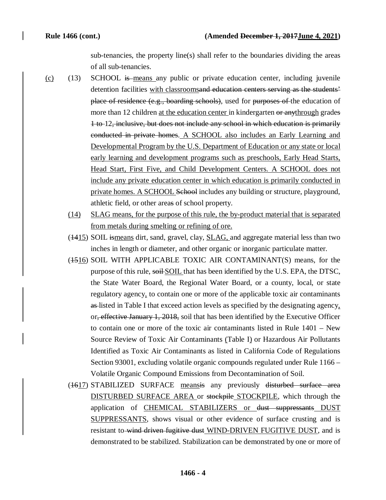sub-tenancies, the property line(s) shall refer to the boundaries dividing the areas of all sub-tenancies.

- (c) (13) SCHOOL is means any public or private education center, including juvenile detention facilities with classroomsand education centers serving as the students' place of residence (e.g., boarding schools), used for purposes of the education of more than 12 children at the education center in kindergarten or anythrough grades 1 to 12, inclusive, but does not include any school in which education is primarily conducted in private homes. A SCHOOL also includes an Early Learning and Developmental Program by the U.S. Department of Education or any state or local early learning and development programs such as preschools, Early Head Starts, Head Start, First Five, and Child Development Centers. A SCHOOL does not include any private education center in which education is primarily conducted in private homes. A SCHOOL School includes any building or structure, playground, athletic field, or other areas of school property.
	- (14) SLAG means, for the purpose of this rule, the by-product material that is separated from metals during smelting or refining of ore.
	- (1415) SOIL ismeans dirt, sand, gravel, clay, SLAG, and aggregate material less than two inches in length or diameter, and other organic or inorganic particulate matter.
	- (1516) SOIL WITH APPLICABLE TOXIC AIR CONTAMINANT(S) means, for the purpose of this rule, soil SOIL that has been identified by the U.S. EPA, the DTSC, the State Water Board, the Regional Water Board, or a county, local, or state regulatory agency, to contain one or more of the applicable toxic air contaminants as listed in Table I that exceed action levels as specified by the designating agency, or, effective January 1, 2018, soil that has been identified by the Executive Officer to contain one or more of the toxic air contaminants listed in Rule 1401 – New Source Review of Toxic Air Contaminants (Table I) or Hazardous Air Pollutants Identified as Toxic Air Contaminants as listed in California Code of Regulations Section 93001, excluding volatile organic compounds regulated under Rule 1166 – Volatile Organic Compound Emissions from Decontamination of Soil.
	- (1617) STABILIZED SURFACE meansis any previously disturbed surface area DISTURBED SURFACE AREA or stockpile STOCKPILE, which through the application of **CHEMICAL STABILIZERS** or dust suppressants **DUST** SUPPRESSANTS, shows visual or other evidence of surface crusting and is resistant to wind driven fugitive dust WIND-DRIVEN FUGITIVE DUST, and is demonstrated to be stabilized. Stabilization can be demonstrated by one or more of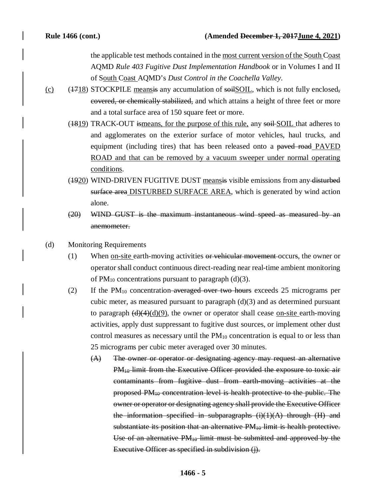the applicable test methods contained in the most current version of the South Coast AQMD *Rule 403 Fugitive Dust Implementation Handbook* or in Volumes I and II of South Coast AQMD's *Dust Control in the Coachella Valley*.

- (c)  $(1718)$  STOCKPILE meansis any accumulation of soil SOIL, which is not fully enclosed, covered, or chemically stabilized, and which attains a height of three feet or more and a total surface area of 150 square feet or more.
	- (4819) TRACK-OUT ismeans, for the purpose of this rule, any soil-SOIL that adheres to and agglomerates on the exterior surface of motor vehicles, haul trucks, and equipment (including tires) that has been released onto a paved road PAVED ROAD and that can be removed by a vacuum sweeper under normal operating conditions.
	- (1920) WIND-DRIVEN FUGITIVE DUST meansis visible emissions from any disturbed surface area DISTURBED SURFACE AREA, which is generated by wind action alone.
	- (20) WIND GUST is the maximum instantaneous wind speed as measured by an anemometer.
- (d) Monitoring Requirements
	- $(1)$  When <u>on-site</u> earth-moving activities or vehicular movement-occurs, the owner or operator shall conduct continuous direct-reading near real-time ambient monitoring of  $PM_{10}$  concentrations pursuant to paragraph (d)(3).
	- (2) If the  $PM_{10}$  concentration averaged over two hours exceeds 25 micrograms per cubic meter, as measured pursuant to paragraph (d)(3) and as determined pursuant to paragraph  $\left(\frac{d}{4}(4)(d)\right)$ , the owner or operator shall cease on-site earth-moving activities, apply dust suppressant to fugitive dust sources, or implement other dust control measures as necessary until the  $PM_{10}$  concentration is equal to or less than 25 micrograms per cubic meter averaged over 30 minutes.
		- (A) The owner or operator or designating agency may request an alternative PM<sub>10</sub> limit from the Executive Officer provided the exposure to toxic air contaminants from fugitive dust from earth-moving activities at the proposed PM10 concentration level is health protective to the public. The owner or operator or designating agency shall provide the Executive Officer the information specified in subparagraphs  $(i)(1)(A)$  through  $(H)$  and substantiate its position that an alternative PM<sub>10</sub> limit is health protective. Use of an alternative  $PM_{10}$  limit must be submitted and approved by the Executive Officer as specified in subdivision (j).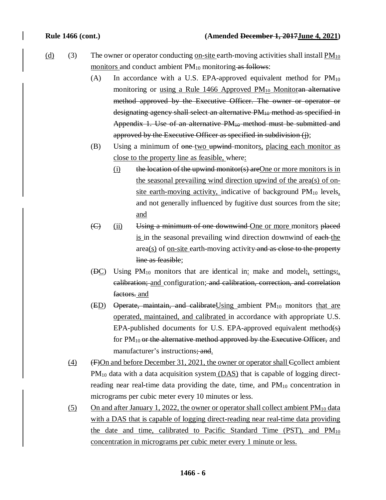- (d) (3) The owner or operator conducting <u>on-site earth-moving activities shall install PM</u><sub>10</sub> monitors and conduct ambient  $PM_{10}$  monitoring as follows:
	- (A) In accordance with a U.S. EPA-approved equivalent method for  $PM_{10}$ monitoring or using a Rule 1466 Approved  $PM_{10}$  Monitoran alternative method approved by the Executive Officer. The owner or operator or designating agency shall select an alternative PM<sub>10</sub> method as specified in Appendix 1. Use of an alternative  $PM_{10}$  method must be submitted and approved by the Executive Officer as specified in subdivision (j);
	- (B) Using a minimum of one two upwind monitors, placing each monitor as close to the property line as feasible, where:
		- $(i)$  the location of the upwind monitor(s) are One or more monitors is in the seasonal prevailing wind direction upwind of the area(s) of onsite earth-moving activity, indicative of background  $PM_{10}$  levels, and not generally influenced by fugitive dust sources from the site; and
	- (C) (ii) Using a minimum of one downwind One or more monitors placed is in the seasonal prevailing wind direction downwind of each-the area(s) of <u>on-site</u> earth-moving activity and as close to the property line as feasible;
	- ( $\overline{DC}$ ) Using PM<sub>10</sub> monitors that are identical in: make and model;, settings; calibration; and configuration; and calibration, correction, and correlation factors. and
	- $(ED)$  Operate, maintain, and calibrate Using ambient PM<sub>10</sub> monitors that are operated, maintained, and calibrated in accordance with appropriate U.S. EPA-published documents for U.S. EPA-approved equivalent method(s) for  $PM_{10}$  or the alternative method approved by the Executive Officer, and manufacturer's instructions; and.
	- (4)  $(F)$ On and before December 31, 2021, the owner or operator shall  $C$ collect ambient  $PM_{10}$  data with a data acquisition system  $(DAS)$  that is capable of logging directreading near real-time data providing the date, time, and  $PM_{10}$  concentration in micrograms per cubic meter every 10 minutes or less.
	- (5) On and after January 1, 2022, the owner or operator shall collect ambient  $PM_{10}$  data with a DAS that is capable of logging direct-reading near real-time data providing the date and time, calibrated to Pacific Standard Time (PST), and  $PM_{10}$ concentration in micrograms per cubic meter every 1 minute or less.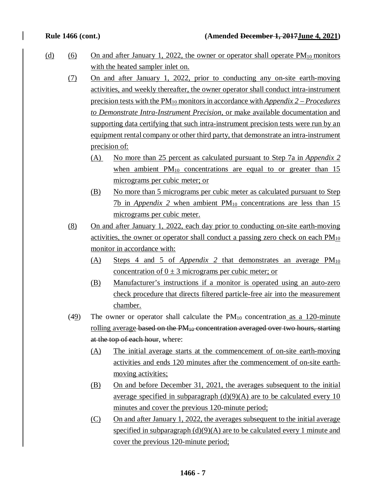- (d) (6) On and after January 1, 2022, the owner or operator shall operate  $PM_{10}$  monitors with the heated sampler inlet on.
	- (7) On and after January 1, 2022, prior to conducting any on-site earth-moving activities, and weekly thereafter, the owner operator shall conduct intra-instrument precision tests with the PM10 monitors in accordance with *Appendix 2 – Procedures to Demonstrate Intra-Instrument Precision,* or make available documentation and supporting data certifying that such intra-instrument precision tests were run by an equipment rental company or other third party, that demonstrate an intra-instrument precision of:
		- (A) No more than 25 percent as calculated pursuant to Step 7a in *Appendix 2*  when ambient  $PM_{10}$  concentrations are equal to or greater than 15 micrograms per cubic meter; or
		- (B) No more than 5 micrograms per cubic meter as calculated pursuant to Step  $7b$  in *Appendix 2* when ambient  $PM_{10}$  concentrations are less than 15 micrograms per cubic meter.
	- (8) On and after January 1, 2022, each day prior to conducting on-site earth-moving activities, the owner or operator shall conduct a passing zero check on each  $PM_{10}$ monitor in accordance with:
		- (A) Steps 4 and 5 of *Appendix 2* that demonstrates an average PM<sub>10</sub> concentration of  $0 \pm 3$  micrograms per cubic meter; or
		- (B) Manufacturer's instructions if a monitor is operated using an auto-zero check procedure that directs filtered particle-free air into the measurement chamber.
	- $(49)$  The owner or operator shall calculate the PM<sub>10</sub> concentration as a 120-minute rolling average-based on the PM<sub>10</sub> concentration averaged over two hours, starting at the top of each hour, where:
		- (A) The initial average starts at the commencement of on-site earth-moving activities and ends 120 minutes after the commencement of on-site earthmoving activities;
		- (B) On and before December 31, 2021, the averages subsequent to the initial average specified in subparagraph  $(d)(9)(A)$  are to be calculated every 10 minutes and cover the previous 120-minute period;
		- (C) On and after January 1, 2022, the averages subsequent to the initial average specified in subparagraph  $(d)(9)(A)$  are to be calculated every 1 minute and cover the previous 120-minute period;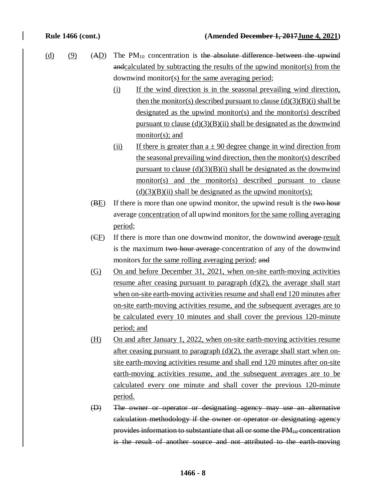- (d) (9) (AD) The PM<sub>10</sub> concentration is the absolute difference between the upwind andcalculated by subtracting the results of the upwind monitor(s) from the downwind monitor(s) for the same averaging period;
	- (i) If the wind direction is in the seasonal prevailing wind direction, then the monitor(s) described pursuant to clause  $(d)(3)(B)(i)$  shall be designated as the upwind monitor(s) and the monitor(s) described pursuant to clause  $(d)(3)(B)(ii)$  shall be designated as the downwind monitor(s); and
	- (ii) If there is greater than  $a \pm 90$  degree change in wind direction from the seasonal prevailing wind direction, then the monitor(s) described pursuant to clause  $(d)(3)(B)(i)$  shall be designated as the downwind monitor(s) and the monitor(s) described pursuant to clause  $(d)(3)(B)(ii)$  shall be designated as the upwind monitor(s);
	- (BE) If there is more than one upwind monitor, the upwind result is the two hour average concentration of all upwind monitors for the same rolling averaging period;
	- (CF) If there is more than one downwind monitor, the downwind average result is the maximum two hour average concentration of any of the downwind monitors for the same rolling averaging period; and
	- (G) On and before December 31, 2021, when on-site earth-moving activities resume after ceasing pursuant to paragraph  $(d)(2)$ , the average shall start when on-site earth-moving activities resume and shall end 120 minutes after on-site earth-moving activities resume, and the subsequent averages are to be calculated every 10 minutes and shall cover the previous 120-minute period; and
	- (H) On and after January 1, 2022, when on-site earth-moving activities resume after ceasing pursuant to paragraph  $(d)(2)$ , the average shall start when onsite earth-moving activities resume and shall end 120 minutes after on-site earth-moving activities resume, and the subsequent averages are to be calculated every one minute and shall cover the previous 120-minute period.
	- (D) The owner or operator or designating agency may use an alternative calculation methodology if the owner or operator or designating agency provides information to substantiate that all or some the PM<sub>10</sub> concentration is the result of another source and not attributed to the earth-moving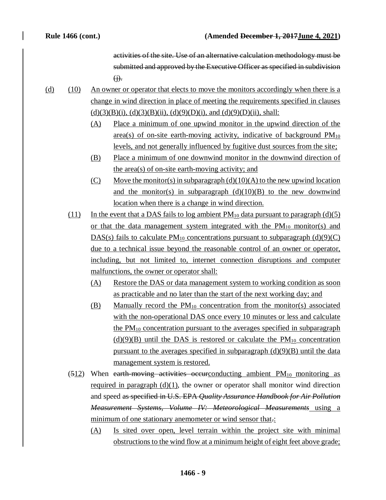activities of the site. Use of an alternative calculation methodology must be submitted and approved by the Executive Officer as specified in subdivision  $\Theta$ .

- (d) (10) An owner or operator that elects to move the monitors accordingly when there is a change in wind direction in place of meeting the requirements specified in clauses  $(d)(3)(B)(i)$ ,  $(d)(3)(B)(ii)$ ,  $(d)(9)(D)(i)$ , and  $(d)(9)(D)(ii)$ , shall:
	- (A) Place a minimum of one upwind monitor in the upwind direction of the area(s) of on-site earth-moving activity, indicative of background  $PM_{10}$ levels, and not generally influenced by fugitive dust sources from the site;
	- (B) Place a minimum of one downwind monitor in the downwind direction of the area(s) of on-site earth-moving activity; and
	- $(C)$  Move the monitor(s) in subparagraph  $(d)(10)(A)$  to the new upwind location and the monitor(s) in subparagraph  $(d)(10)(B)$  to the new downwind location when there is a change in wind direction.
	- (11) In the event that a DAS fails to log ambient  $PM_{10}$  data pursuant to paragraph (d)(5) or that the data management system integrated with the  $PM_{10}$  monitor(s) and DAS(s) fails to calculate  $PM_{10}$  concentrations pursuant to subparagraph (d)(9)(C) due to a technical issue beyond the reasonable control of an owner or operator, including, but not limited to, internet connection disruptions and computer malfunctions, the owner or operator shall:
		- (A) Restore the DAS or data management system to working condition as soon as practicable and no later than the start of the next working day; and
		- $(B)$  Manually record the PM<sub>10</sub> concentration from the monitor(s) associated with the non-operational DAS once every 10 minutes or less and calculate the  $PM_{10}$  concentration pursuant to the averages specified in subparagraph  $(d)(9)(B)$  until the DAS is restored or calculate the PM<sub>10</sub> concentration pursuant to the averages specified in subparagraph  $(d)(9)(B)$  until the data management system is restored.
	- $(512)$  When earth-moving activities occurring ambient PM<sub>10</sub> monitoring as required in paragraph  $(d)(1)$ , the owner or operator shall monitor wind direction and speed as specified in U.S. EPA *Quality Assurance Handbook for Air Pollution Measurement Systems, Volume IV: Meteorological Measurements* using a minimum of one stationary anemometer or wind sensor that.:
		- (A) Is sited over open, level terrain within the project site with minimal obstructions to the wind flow at a minimum height of eight feet above grade;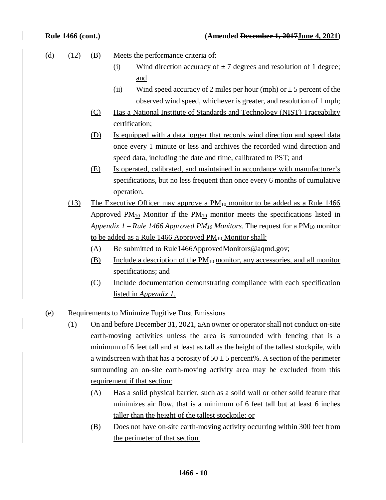| (d) | (12) | (B)                                              | Meets the performance criteria of: |                                                                                                            |
|-----|------|--------------------------------------------------|------------------------------------|------------------------------------------------------------------------------------------------------------|
|     |      |                                                  | <u>(i)</u>                         | Wind direction accuracy of $\pm$ 7 degrees and resolution of 1 degree;                                     |
|     |      |                                                  |                                    | and                                                                                                        |
|     |      |                                                  | (ii)                               | Wind speed accuracy of 2 miles per hour (mph) or $\pm$ 5 percent of the                                    |
|     |      |                                                  |                                    | observed wind speed, whichever is greater, and resolution of 1 mph;                                        |
|     |      | (C)                                              |                                    | Has a National Institute of Standards and Technology (NIST) Traceability                                   |
|     |      |                                                  | certification;                     |                                                                                                            |
|     |      | <u>(D)</u>                                       |                                    | Is equipped with a data logger that records wind direction and speed data                                  |
|     |      |                                                  |                                    | once every 1 minute or less and archives the recorded wind direction and                                   |
|     |      |                                                  |                                    | speed data, including the date and time, calibrated to PST; and                                            |
|     |      | (E)                                              |                                    | Is operated, calibrated, and maintained in accordance with manufacturer's                                  |
|     |      |                                                  |                                    | specifications, but no less frequent than once every 6 months of cumulative                                |
|     |      |                                                  | operation.                         |                                                                                                            |
|     | (13) |                                                  |                                    | <u>The Executive Officer may approve a <math>PM_{10}</math> monitor to be added as a Rule 1466</u>         |
|     |      |                                                  |                                    | Approved $PM_{10}$ Monitor if the $PM_{10}$ monitor meets the specifications listed in                     |
|     |      |                                                  |                                    | <u>Appendix 1 – Rule 1466 Approved PM<sub>10</sub> Monitors. The request for a PM<sub>10</sub> monitor</u> |
|     |      |                                                  |                                    | to be added as a Rule 1466 Approved $PM_{10}$ Monitor shall:                                               |
|     |      | (A)                                              |                                    | Be submitted to Rule1466ApprovedMonitors@aqmd.gov;                                                         |
|     |      | (B)                                              |                                    | Include a description of the $PM_{10}$ monitor, any accessories, and all monitor                           |
|     |      |                                                  |                                    | specifications; and                                                                                        |
|     |      | (C)                                              |                                    | Include documentation demonstrating compliance with each specification                                     |
|     |      |                                                  |                                    | listed in Appendix 1.                                                                                      |
|     |      |                                                  |                                    |                                                                                                            |
| (e) |      | Requirements to Minimize Fugitive Dust Emissions |                                    |                                                                                                            |
|     | (1)  |                                                  |                                    | On and before December 31, 2021, aAn owner or operator shall not conduct on-site                           |
|     |      |                                                  |                                    | earth-moving activities unless the area is surrounded with fencing that is a                               |
|     |      |                                                  |                                    | minimum of 6 feet tall and at least as tall as the height of the tallest stockpile, with                   |
|     |      |                                                  |                                    | a windscreen with that has a porosity of $50 \pm 5$ percent%. A section of the perimeter                   |

a windscreen with that has a porosity of  $50 \pm 5$  percent%. A section of the perimeter surrounding an on-site earth-moving activity area may be excluded from this requirement if that section:

- (A) Has a solid physical barrier, such as a solid wall or other solid feature that minimizes air flow, that is a minimum of 6 feet tall but at least 6 inches taller than the height of the tallest stockpile; or
- (B) Does not have on-site earth-moving activity occurring within 300 feet from the perimeter of that section.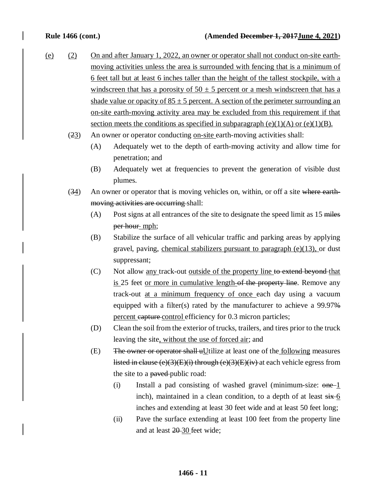- (e) (2) On and after January 1, 2022, an owner or operator shall not conduct on-site earthmoving activities unless the area is surrounded with fencing that is a minimum of 6 feet tall but at least 6 inches taller than the height of the tallest stockpile, with a windscreen that has a porosity of  $50 \pm 5$  percent or a mesh windscreen that has a shade value or opacity of  $85 \pm 5$  percent. A section of the perimeter surrounding an on-site earth-moving activity area may be excluded from this requirement if that section meets the conditions as specified in subparagraph  $(e)(1)(A)$  or  $(e)(1)(B)$ .
	- (23) An owner or operator conducting on-site earth-moving activities shall:
		- (A) Adequately wet to the depth of earth-moving activity and allow time for penetration; and
		- (B) Adequately wet at frequencies to prevent the generation of visible dust plumes.
	- $(34)$  An owner or operator that is moving vehicles on, within, or off a site where earthmoving activities are occurring shall:
		- (A) Post signs at all entrances of the site to designate the speed limit as 15 miles per hour mph;
		- (B) Stabilize the surface of all vehicular traffic and parking areas by applying gravel, paving, chemical stabilizers pursuant to paragraph  $(e)(13)$ , or dust suppressant;
		- (C) Not allow any track-out outside of the property line to extend beyond that is 25 feet or more in cumulative length of the property line. Remove any track-out at a minimum frequency of once each day using a vacuum equipped with a filter(s) rated by the manufacturer to achieve a 99.97% percent capture control efficiency for 0.3 micron particles;
		- (D) Clean the soil from the exterior of trucks, trailers, and tires prior to the truck leaving the site, without the use of forced air; and
		- (E) The owner or operator shall  $uU$ tilize at least one of the <u>following</u> measures listed in clause (e)(3)(E)(i) through (e)(3)(E)(iv) at each vehicle egress from the site to a payed-public road:
			- (i) Install a pad consisting of washed gravel (minimum-size:  $one-1$ inch), maintained in a clean condition, to a depth of at least  $\frac{1}{x}$  6 inches and extending at least 30 feet wide and at least 50 feet long;
			- (ii) Pave the surface extending at least 100 feet from the property line and at least 20-30 feet wide;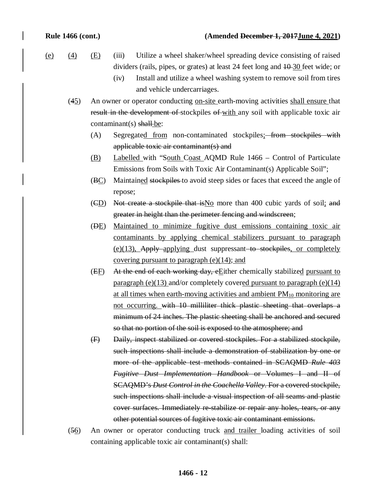- (e)  $(4)$   $(E)$   $(iii)$  Utilize a wheel shaker/wheel spreading device consisting of raised dividers (rails, pipes, or grates) at least 24 feet long and  $10-30$  feet wide; or
	- (iv) Install and utilize a wheel washing system to remove soil from tires and vehicle undercarriages.
	- (45) An owner or operator conducting on-site earth-moving activities shall ensure that result in the development of stockpiles of with any soil with applicable toxic air  $contaminant(s)$  shall-be:
		- (A) Segregated from non-contaminated stockpiles; from stockpiles with applicable toxic air contaminant(s) and
		- (B) Labelled with "South Coast AQMD Rule 1466 Control of Particulate Emissions from Soils with Toxic Air Contaminant(s) Applicable Soil";
		- (BC) Maintained stockpiles to avoid steep sides or faces that exceed the angle of repose;
		- $(\overline{CD})$  Not create a stockpile that is No more than 400 cubic yards of soil; and greater in height than the perimeter fencing and windscreen;
		- (DE) Maintained to minimize fugitive dust emissions containing toxic air contaminants by applying chemical stabilizers pursuant to paragraph (e)(13), Apply applying dust suppressant to stockpiles, or completely covering pursuant to paragraph  $(e)(14)$ ; and
		- (EF) At the end of each working day, eEither chemically stabilized pursuant to paragraph (e)(13) and/or completely covered pursuant to paragraph (e)(14) at all times when earth-moving activities and ambient  $PM_{10}$  monitoring are not occurring. with 10 milliliter thick plastic sheeting that overlaps a minimum of 24 inches. The plastic sheeting shall be anchored and secured so that no portion of the soil is exposed to the atmosphere; and
		- (F) Daily, inspect stabilized or covered stockpiles. For a stabilized stockpile, such inspections shall include a demonstration of stabilization by one or more of the applicable test methods contained in SCAQMD *Rule 403 Fugitive Dust Implementation Handbook* or Volumes I and II of SCAQMD's *Dust Control in the Coachella Valley*. For a covered stockpile, such inspections shall include a visual inspection of all seams and plastic cover surfaces. Immediately re-stabilize or repair any holes, tears, or any other potential sources of fugitive toxic air contaminant emissions.
	- (56) An owner or operator conducting truck and trailer loading activities of soil containing applicable toxic air contaminant(s) shall: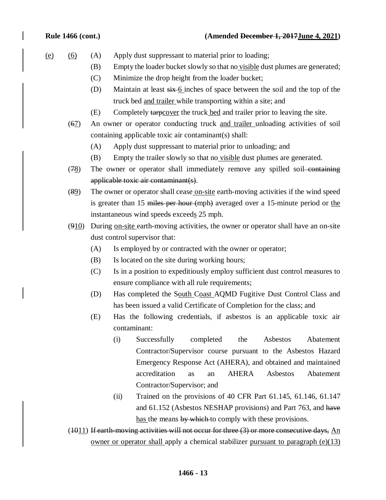### **Rule 1466 (cont.) (Amended December 1, 2017June 4, 2021)**

- (e) (6) (A) Apply dust suppressant to material prior to loading;
	- (B) Empty the loader bucket slowly so that no visible dust plumes are generated;
	- (C) Minimize the drop height from the loader bucket;
	- (D) Maintain at least  $\frac{\sin 6}{5}$  inches of space between the soil and the top of the truck bed and trailer while transporting within a site; and
	- (E) Completely tarpcover the truck bed and trailer prior to leaving the site.
	- (67) An owner or operator conducting truck and trailer unloading activities of soil containing applicable toxic air contaminant(s) shall:
		- (A) Apply dust suppressant to material prior to unloading; and
		- (B) Empty the trailer slowly so that no visible dust plumes are generated.
	- (78) The owner or operator shall immediately remove any spilled soil-containing applicable toxic air contaminant(s).
	- $(89)$  The owner or operator shall cease on-site earth-moving activities if the wind speed is greater than 15 miles per hour (mph) averaged over a 15-minute period or the instantaneous wind speeds exceeds 25 mph.
	- $(910)$  During on-site earth-moving activities, the owner or operator shall have an on-site dust control supervisor that:
		- (A) Is employed by or contracted with the owner or operator;
		- (B) Is located on the site during working hours;
		- (C) Is in a position to expeditiously employ sufficient dust control measures to ensure compliance with all rule requirements;
		- (D) Has completed the South Coast AQMD Fugitive Dust Control Class and has been issued a valid Certificate of Completion for the class; and
		- (E) Has the following credentials, if asbestos is an applicable toxic air contaminant:
			- (i) Successfully completed the Asbestos Abatement Contractor/Supervisor course pursuant to the Asbestos Hazard Emergency Response Act (AHERA), and obtained and maintained accreditation as an AHERA Asbestos Abatement Contractor/Supervisor; and
			- (ii) Trained on the provisions of 40 CFR Part  $61.145$ ,  $61.146$ ,  $61.147$ and 61.152 (Asbestos NESHAP provisions) and Part 763, and have has the means by which to comply with these provisions.

 $(1011)$  If earth-moving activities will not occur for three  $(3)$  or more consecutive days, An owner or operator shall apply a chemical stabilizer pursuant to paragraph  $(e)(13)$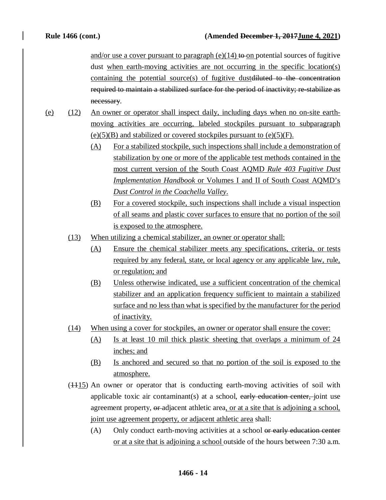and/or use a cover pursuant to paragraph  $(e)(14)$  to on potential sources of fugitive dust when earth-moving activities are not occurring in the specific location(s) containing the potential source(s) of fugitive dustdiluted to the concentration required to maintain a stabilized surface for the period of inactivity; re-stabilize as necessary.

- (e) (12) An owner or operator shall inspect daily, including days when no on-site earthmoving activities are occurring, labeled stockpiles pursuant to subparagraph  $(e)(5)(B)$  and stabilized or covered stockpiles pursuant to  $(e)(5)(F)$ .
	- (A) For a stabilized stockpile, such inspections shall include a demonstration of stabilization by one or more of the applicable test methods contained in the most current version of the South Coast AQMD *Rule 403 Fugitive Dust Implementation Handbook* or Volumes I and II of South Coast AQMD's *Dust Control in the Coachella Valley*.
	- (B) For a covered stockpile, such inspections shall include a visual inspection of all seams and plastic cover surfaces to ensure that no portion of the soil is exposed to the atmosphere.
	- (13) When utilizing a chemical stabilizer, an owner or operator shall:
		- (A) Ensure the chemical stabilizer meets any specifications, criteria, or tests required by any federal, state, or local agency or any applicable law, rule, or regulation; and
		- (B) Unless otherwise indicated, use a sufficient concentration of the chemical stabilizer and an application frequency sufficient to maintain a stabilized surface and no less than what is specified by the manufacturer for the period of inactivity.
	- (14) When using a cover for stockpiles, an owner or operator shall ensure the cover:
		- (A) Is at least 10 mil thick plastic sheeting that overlaps a minimum of 24 inches; and
		- (B) Is anchored and secured so that no portion of the soil is exposed to the atmosphere.
	- $(1115)$  An owner or operator that is conducting earth-moving activities of soil with applicable toxic air contaminant(s) at a school, early education center, joint use agreement property, or adjacent athletic area, or at a site that is adjoining a school, joint use agreement property, or adjacent athletic area shall:
		- (A) Only conduct earth-moving activities at a school or early education center or at a site that is adjoining a school outside of the hours between 7:30 a.m.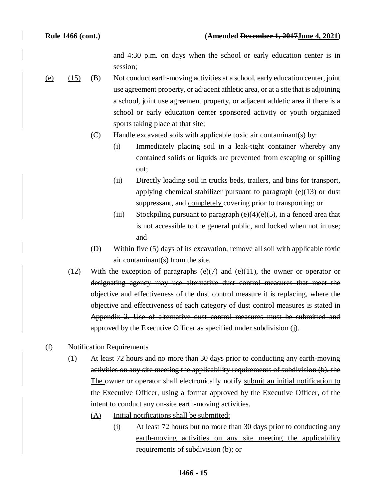and 4:30 p.m. on days when the school or early education center is in session;

- (e)  $(15)$  (B) Not conduct earth-moving activities at a school, early education center, joint use agreement property, or adjacent athletic area, or at a site that is adjoining a school, joint use agreement property, or adjacent athletic area if there is a school or early education center-sponsored activity or youth organized sports taking place at that site;
	- (C) Handle excavated soils with applicable toxic air contaminant(s) by:
		- (i) Immediately placing soil in a leak-tight container whereby any contained solids or liquids are prevented from escaping or spilling out;
		- (ii) Directly loading soil in trucks beds, trailers, and bins for transport, applying chemical stabilizer pursuant to paragraph (e)(13) or dust suppressant, and completely covering prior to transporting; or
		- (iii) Stockpiling pursuant to paragraph  $(e)(4)(e)(5)$ , in a fenced area that is not accessible to the general public, and locked when not in use; and
	- (D) Within five (5) days of its excavation, remove all soil with applicable toxic air contaminant(s) from the site.
	- $(12)$  With the exception of paragraphs  $(e)(7)$  and  $(e)(11)$ , the owner or operator or designating agency may use alternative dust control measures that meet the objective and effectiveness of the dust control measure it is replacing, where the objective and effectiveness of each category of dust control measures is stated in Appendix 2. Use of alternative dust control measures must be submitted and approved by the Executive Officer as specified under subdivision (j).
- (f) Notification Requirements
	- (1) At least 72 hours and no more than 30 days prior to conducting any earth-moving activities on any site meeting the applicability requirements of subdivision (b), the The owner or operator shall electronically notify submit an initial notification to the Executive Officer, using a format approved by the Executive Officer, of the intent to conduct any on-site earth-moving activities.
		- (A) Initial notifications shall be submitted:
			- (i) At least 72 hours but no more than 30 days prior to conducting any earth-moving activities on any site meeting the applicability requirements of subdivision (b); or

### **1466 - 15**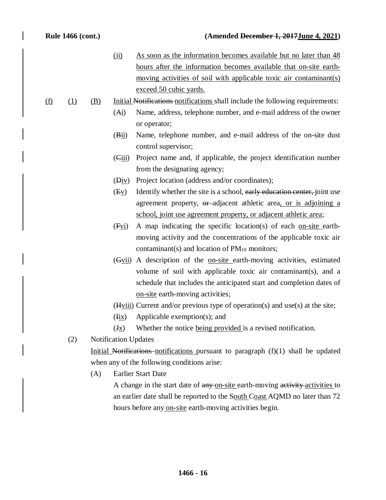(ii) As soon as the information becomes available but no later than 48 hours after the information becomes available that on-site earthmoving activities of soil with applicable toxic air contaminant(s) exceed 50 cubic yards.

### $(f)$  (1) (B) Initial Notifications notifications shall include the following requirements:

- (Ai) Name, address, telephone number, and e-mail address of the owner or operator;
- (Bii) Name, telephone number, and e-mail address of the on-site dust control supervisor;
- (Ciii) Project name and, if applicable, the project identification number from the designating agency;
- $(\overrightarrow{Div})$  Project location (address and/or coordinates);
- $(Ey)$  Identify whether the site is a school, early education center, joint use agreement property, or adjacent athletic area, or is adjoining a school, joint use agreement property, or adjacent athletic area;
- (Fvi) A map indicating the specific location(s) of each on-site earthmoving activity and the concentrations of the applicable toxic air contaminant(s) and location of  $PM_{10}$  monitors;
- (Gvii) A description of the on-site earth-moving activities, estimated volume of soil with applicable toxic air contaminant(s), and a schedule that includes the anticipated start and completion dates of on-site earth-moving activities;
- $(Hviii)$  Current and/or previous type of operation(s) and use(s) at the site;
- (Iix) Applicable exemption(s); and
- $(\frac{Jx}{x})$  Whether the notice being provided is a revised notification.
- (2) Notification Updates

Initial Notifications notifications pursuant to paragraph  $(f)(1)$  shall be updated when any of the following conditions arise:

(A) Earlier Start Date

A change in the start date of any on-site earth-moving activity activities to an earlier date shall be reported to the South Coast AQMD no later than 72 hours before any on-site earth-moving activities begin.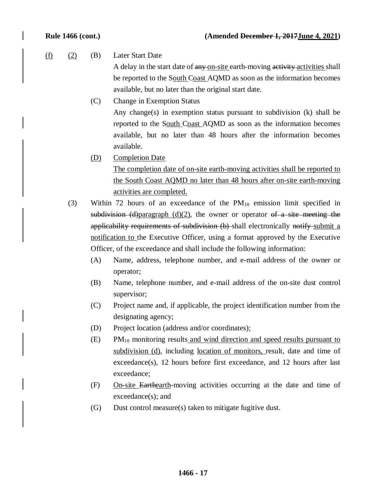(f) (2) (B) Later Start Date

A delay in the start date of any on-site earth-moving activity activities shall be reported to the South Coast AQMD as soon as the information becomes available, but no later than the original start date.

(C) Change in Exemption Status Any change(s) in exemption status pursuant to subdivision (k) shall be reported to the South Coast AQMD as soon as the information becomes available, but no later than 48 hours after the information becomes available.

(D) Completion Date

The completion date of on-site earth-moving activities shall be reported to the South Coast AQMD no later than 48 hours after on-site earth-moving activities are completed.

- (3) Within 72 hours of an exceedance of the  $PM_{10}$  emission limit specified in subdivision (d)paragraph (d)(2), the owner or operator of a site meeting the applicability requirements of subdivision (b) shall electronically notify submit a notification to the Executive Officer, using a format approved by the Executive Officer, of the exceedance and shall include the following information:
	- (A) Name, address, telephone number, and e-mail address of the owner or operator;
	- (B) Name, telephone number, and e-mail address of the on-site dust control supervisor;
	- (C) Project name and, if applicable, the project identification number from the designating agency;
	- (D) Project location (address and/or coordinates);
	- (E) PM10 monitoring results and wind direction and speed results pursuant to subdivision (d), including location of monitors, result, date and time of exceedance(s), 12 hours before first exceedance, and 12 hours after last exceedance;
	- (F) On-site Earthearth-moving activities occurring at the date and time of exceedance(s); and
	- (G) Dust control measure(s) taken to mitigate fugitive dust.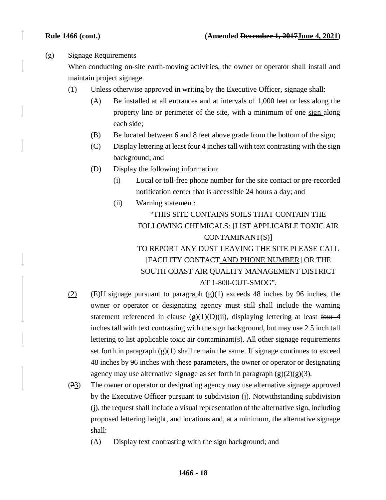### (g) Signage Requirements

When conducting on-site earth-moving activities, the owner or operator shall install and maintain project signage.

- (1) Unless otherwise approved in writing by the Executive Officer, signage shall:
	- (A) Be installed at all entrances and at intervals of 1,000 feet or less along the property line or perimeter of the site, with a minimum of one sign along each side;
	- (B) Be located between 6 and 8 feet above grade from the bottom of the sign;
	- (C) Display lettering at least  $f<sub>our</sub>4$  inches tall with text contrasting with the sign background; and
	- (D) Display the following information:
		- (i) Local or toll-free phone number for the site contact or pre-recorded notification center that is accessible 24 hours a day; and
		- (ii) Warning statement: "THIS SITE CONTAINS SOILS THAT CONTAIN THE FOLLOWING CHEMICALS: [LIST APPLICABLE TOXIC AIR CONTAMINANT(S)] TO REPORT ANY DUST LEAVING THE SITE PLEASE CALL [FACILITY CONTACT AND PHONE NUMBER] OR THE SOUTH COAST AIR QUALITY MANAGEMENT DISTRICT

### AT 1-800-CUT-SMOG".

- (2) ( $\angle$ ) ( $\angle$ ) ( $\angle$ ) exceeds 48 inches by 96 inches, the owner or operator or designating agency must still shall include the warning statement referenced in clause  $(g)(1)(D)(ii)$ , displaying lettering at least four 4 inches tall with text contrasting with the sign background, but may use 2.5 inch tall lettering to list applicable toxic air contaminant(s). All other signage requirements set forth in paragraph  $(g)(1)$  shall remain the same. If signage continues to exceed 48 inches by 96 inches with these parameters, the owner or operator or designating agency may use alternative signage as set forth in paragraph  $\left(\frac{g}{2}(2)(g)\right)$ .
- (23) The owner or operator or designating agency may use alternative signage approved by the Executive Officer pursuant to subdivision (j). Notwithstanding subdivision (j), the request shall include a visual representation of the alternative sign, including proposed lettering height, and locations and, at a minimum, the alternative signage shall:
	- (A) Display text contrasting with the sign background; and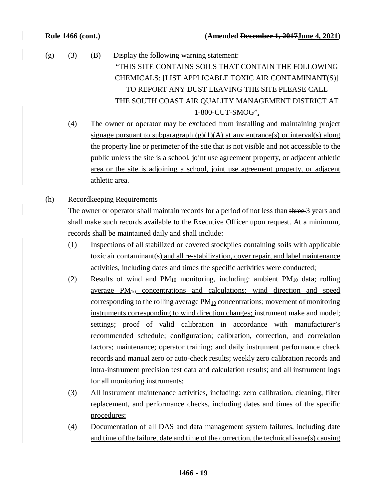- $(g)$   $(3)$   $(B)$  Display the following warning statement: "THIS SITE CONTAINS SOILS THAT CONTAIN THE FOLLOWING CHEMICALS: [LIST APPLICABLE TOXIC AIR CONTAMINANT(S)] TO REPORT ANY DUST LEAVING THE SITE PLEASE CALL THE SOUTH COAST AIR QUALITY MANAGEMENT DISTRICT AT 1-800-CUT-SMOG".
	- (4) The owner or operator may be excluded from installing and maintaining project signage pursuant to subparagraph  $(g)(1)(A)$  at any entrance(s) or interval(s) along the property line or perimeter of the site that is not visible and not accessible to the public unless the site is a school, joint use agreement property, or adjacent athletic area or the site is adjoining a school, joint use agreement property, or adjacent athletic area.
- (h) Recordkeeping Requirements

The owner or operator shall maintain records for a period of not less than three 3 years and shall make such records available to the Executive Officer upon request. At a minimum, records shall be maintained daily and shall include:

- (1) Inspections of all stabilized or covered stockpiles containing soils with applicable toxic air contaminant(s) and all re-stabilization, cover repair, and label maintenance activities, including dates and times the specific activities were conducted;
- (2) Results of wind and  $PM_{10}$  monitoring, including: ambient  $PM_{10}$  data; rolling average PM10 concentrations and calculations; wind direction and speed corresponding to the rolling average  $PM_{10}$  concentrations; movement of monitoring instruments corresponding to wind direction changes; instrument make and model; settings; proof of valid calibration in accordance with manufacturer's recommended schedule; configuration; calibration, correction, and correlation factors; maintenance; operator training; and daily instrument performance check records and manual zero or auto-check results; weekly zero calibration records and intra-instrument precision test data and calculation results; and all instrument logs for all monitoring instruments;
- (3) All instrument maintenance activities, including: zero calibration, cleaning, filter replacement, and performance checks, including dates and times of the specific procedures;
- (4) Documentation of all DAS and data management system failures, including date and time of the failure, date and time of the correction, the technical issue(s) causing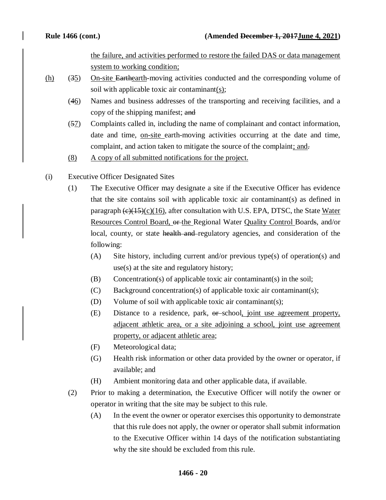the failure, and activities performed to restore the failed DAS or data management system to working condition;

- $(h)$  (35) On-site Earthearth-moving activities conducted and the corresponding volume of soil with applicable toxic air contaminant $(s)$ ;
	- (46) Names and business addresses of the transporting and receiving facilities, and a copy of the shipping manifest; and
	- (57) Complaints called in, including the name of complainant and contact information, date and time, on-site earth-moving activities occurring at the date and time, complaint, and action taken to mitigate the source of the complaint; and.
	- (8) A copy of all submitted notifications for the project.
- (i) Executive Officer Designated Sites
	- (1) The Executive Officer may designate a site if the Executive Officer has evidence that the site contains soil with applicable toxic air contaminant(s) as defined in paragraph  $\left(\frac{e}{15}\right)\left(\frac{c}{16}\right)$ , after consultation with U.S. EPA, DTSC, the State Water Resources Control Board, or the Regional Water Quality Control Boards, and/or local, county, or state health and regulatory agencies, and consideration of the following:
		- (A) Site history, including current and/or previous type(s) of operation(s) and use(s) at the site and regulatory history;
		- (B) Concentration(s) of applicable toxic air contaminant(s) in the soil;
		- (C) Background concentration(s) of applicable toxic air contaminant(s);
		- (D) Volume of soil with applicable toxic air contaminant(s);
		- (E) Distance to a residence, park, or school, joint use agreement property, adjacent athletic area, or a site adjoining a school, joint use agreement property, or adjacent athletic area;
		- (F) Meteorological data;
		- (G) Health risk information or other data provided by the owner or operator, if available; and
		- (H) Ambient monitoring data and other applicable data, if available.
	- (2) Prior to making a determination, the Executive Officer will notify the owner or operator in writing that the site may be subject to this rule.
		- (A) In the event the owner or operator exercises this opportunity to demonstrate that this rule does not apply, the owner or operator shall submit information to the Executive Officer within 14 days of the notification substantiating why the site should be excluded from this rule.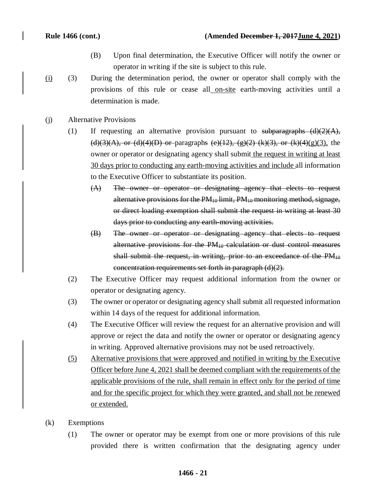- (B) Upon final determination, the Executive Officer will notify the owner or operator in writing if the site is subject to this rule.
- (i) (3) During the determination period, the owner or operator shall comply with the provisions of this rule or cease all on-site earth-moving activities until a determination is made.
- (j) Alternative Provisions
	- (1) If requesting an alternative provision pursuant to subparagraphs  $(d)(2)(A)$ , (d)(3)(A), or (d)(4)(D) or paragraphs (e)(12), (g)(2) (k)(3), or (k)(4)(g)(3), the owner or operator or designating agency shall submit the request in writing at least 30 days prior to conducting any earth-moving activities and include all information to the Executive Officer to substantiate its position.
		- (A) The owner or operator or designating agency that elects to request alternative provisions for the  $PM_{10}$  limit,  $PM_{10}$  monitoring method, signage, or direct loading exemption shall submit the request in writing at least 30 days prior to conducting any earth-moving activities.
		- (B) The owner or operator or designating agency that elects to request alternative provisions for the  $PM_{10}$  calculation or dust control measures shall submit the request, in writing, prior to an exceedance of the  $PM_{10}$ concentration requirements set forth in paragraph (d)(2).
	- (2) The Executive Officer may request additional information from the owner or operator or designating agency.
	- (3) The owner or operator or designating agency shall submit all requested information within 14 days of the request for additional information.
	- (4) The Executive Officer will review the request for an alternative provision and will approve or reject the data and notify the owner or operator or designating agency in writing. Approved alternative provisions may not be used retroactively.
	- (5) Alternative provisions that were approved and notified in writing by the Executive Officer before June 4, 2021 shall be deemed compliant with the requirements of the applicable provisions of the rule, shall remain in effect only for the period of time and for the specific project for which they were granted, and shall not be renewed or extended.
- (k) Exemptions
	- (1) The owner or operator may be exempt from one or more provisions of this rule provided there is written confirmation that the designating agency under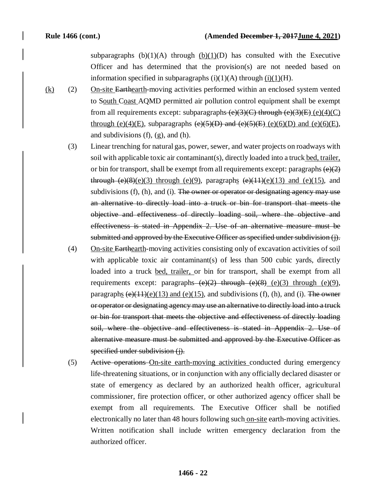subparagraphs  $(b)(1)(A)$  through  $(b)(1)(D)$  has consulted with the Executive Officer and has determined that the provision(s) are not needed based on information specified in subparagraphs  $(i)(1)(A)$  through  $(i)(1)(H)$ .

- $(k)$  (2) On-site Earthearth-moving activities performed within an enclosed system vented to South Coast AQMD permitted air pollution control equipment shall be exempt from all requirements except: subparagraphs  $(e)(3)(C)$  through  $(e)(3)(E)$  (e)(4)(C) through (e)(4)(E), subparagraphs  $(e)(5)(D)$  and  $(e)(5)(E)$  (e)(6)(D) and (e)(6)(E), and subdivisions (f), (g), and (h).
	- (3) Linear trenching for natural gas, power, sewer, and water projects on roadways with soil with applicable toxic air contaminant(s), directly loaded into a truck bed, trailer, or bin for transport, shall be exempt from all requirements except: paragraphs  $\left(\frac{e}{2}\right)$ through  $(e)(8)(e)(3)$  through  $(e)(9)$ , paragraphs  $(e)(11)(e)(13)$  and  $(e)(15)$ , and subdivisions  $(f)$ ,  $(h)$ , and  $(i)$ . The owner or operator or designating agency may use an alternative to directly load into a truck or bin for transport that meets the objective and effectiveness of directly loading soil, where the objective and effectiveness is stated in Appendix 2. Use of an alternative measure must be submitted and approved by the Executive Officer as specified under subdivision (j).
	- (4) On-site Earthearth-moving activities consisting only of excavation activities of soil with applicable toxic air contaminant(s) of less than 500 cubic yards, directly loaded into a truck bed, trailer, or bin for transport, shall be exempt from all requirements except: paragraphs  $(e)(2)$  through  $(e)(3)$  through (e)(9), paragraphs  $(e)(11)(e)(13)$  and  $(e)(15)$ , and subdivisions (f), (h), and (i). The owner or operator or designating agency may use an alternative to directly load into a truck or bin for transport that meets the objective and effectiveness of directly loading soil, where the objective and effectiveness is stated in Appendix 2. Use of alternative measure must be submitted and approved by the Executive Officer as specified under subdivision (j).
	- (5) Active operations On-site earth-moving activities conducted during emergency life-threatening situations, or in conjunction with any officially declared disaster or state of emergency as declared by an authorized health officer, agricultural commissioner, fire protection officer, or other authorized agency officer shall be exempt from all requirements. The Executive Officer shall be notified electronically no later than 48 hours following such on-site earth-moving activities. Written notification shall include written emergency declaration from the authorized officer.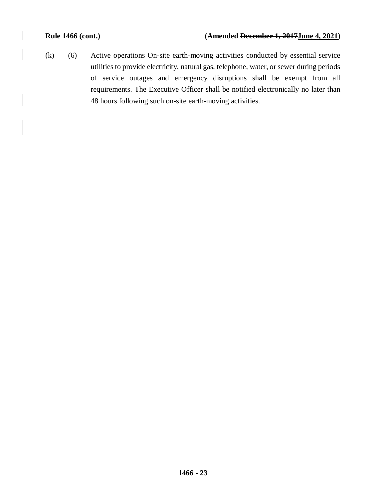$(k)$  (6) Active operations On-site earth-moving activities conducted by essential service utilities to provide electricity, natural gas, telephone, water, or sewer during periods of service outages and emergency disruptions shall be exempt from all requirements. The Executive Officer shall be notified electronically no later than 48 hours following such on-site earth-moving activities.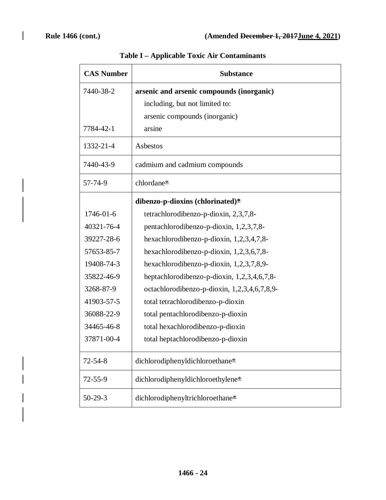$\overline{\phantom{a}}$ 

ı

| <b>CAS Number</b> | <b>Substance</b>                             |  |
|-------------------|----------------------------------------------|--|
| 7440-38-2         | arsenic and arsenic compounds (inorganic)    |  |
|                   | including, but not limited to:               |  |
|                   | arsenic compounds (inorganic)                |  |
| 7784-42-1         | arsine                                       |  |
| 1332-21-4         | Asbestos                                     |  |
| 7440-43-9         | cadmium and cadmium compounds                |  |
| 57-74-9           | chlordane <sup>*</sup>                       |  |
|                   | dibenzo-p-dioxins (chlorinated)*             |  |
| 1746-01-6         | tetrachlorodibenzo-p-dioxin, 2,3,7,8-        |  |
| 40321-76-4        | pentachlorodibenzo-p-dioxin, 1,2,3,7,8-      |  |
| 39227-28-6        | hexachlorodibenzo-p-dioxin, 1,2,3,4,7,8-     |  |
| 57653-85-7        | hexachlorodibenzo-p-dioxin, 1,2,3,6,7,8-     |  |
| 19408-74-3        | hexachlorodibenzo-p-dioxin, $1,2,3,7,8,9$ -  |  |
| 35822-46-9        | heptachlorodibenzo-p-dioxin, 1,2,3,4,6,7,8-  |  |
| 3268-87-9         | octachlorodibenzo-p-dioxin, 1,2,3,4,6,7,8,9- |  |
| 41903-57-5        | total tetrachlorodibenzo-p-dioxin            |  |
| 36088-22-9        | total pentachlorodibenzo-p-dioxin            |  |
| 34465-46-8        | total hexachlorodibenzo-p-dioxin             |  |
| 37871-00-4        | total heptachlorodibenzo-p-dioxin            |  |
| $72 - 54 - 8$     | dichlorodiphenyldichloroethane*              |  |
| $72 - 55 - 9$     | dichlorodiphenyldichloroethylene*            |  |
| $50-29-3$         | dichlorodiphenyltrichloroethane*             |  |

# **Table I – Applicable Toxic Air Contaminants**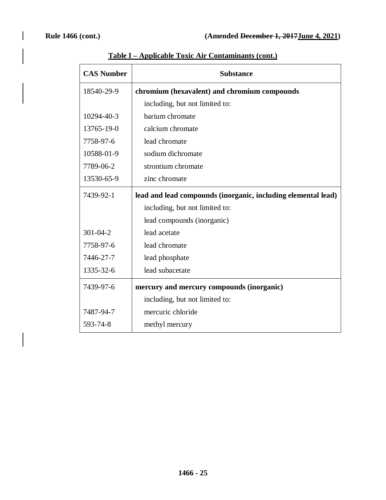| <b>CAS Number</b> | <b>Substance</b>                                              |  |  |
|-------------------|---------------------------------------------------------------|--|--|
| 18540-29-9        | chromium (hexavalent) and chromium compounds                  |  |  |
|                   | including, but not limited to:                                |  |  |
| 10294-40-3        | barium chromate                                               |  |  |
| 13765-19-0        | calcium chromate                                              |  |  |
| 7758-97-6         | lead chromate                                                 |  |  |
| 10588-01-9        | sodium dichromate                                             |  |  |
| 7789-06-2         | strontium chromate                                            |  |  |
| 13530-65-9        | zinc chromate                                                 |  |  |
| 7439-92-1         | lead and lead compounds (inorganic, including elemental lead) |  |  |
|                   | including, but not limited to:                                |  |  |
|                   | lead compounds (inorganic)                                    |  |  |
| $301 - 04 - 2$    | lead acetate                                                  |  |  |
| 7758-97-6         | lead chromate                                                 |  |  |
| 7446-27-7         | lead phosphate                                                |  |  |
| 1335-32-6         | lead subacetate                                               |  |  |
| 7439-97-6         | mercury and mercury compounds (inorganic)                     |  |  |
|                   | including, but not limited to:                                |  |  |
| 7487-94-7         | mercuric chloride                                             |  |  |
| 593-74-8          | methyl mercury                                                |  |  |

# **Table I – Applicable Toxic Air Contaminants (cont.)**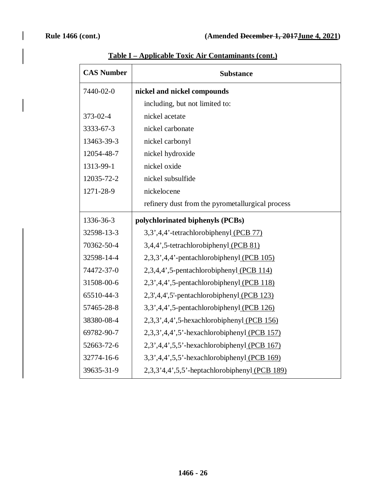| <b>CAS Number</b> | <b>Substance</b>                                 |  |
|-------------------|--------------------------------------------------|--|
| 7440-02-0         | nickel and nickel compounds                      |  |
|                   | including, but not limited to:                   |  |
| 373-02-4          | nickel acetate                                   |  |
| 3333-67-3         | nickel carbonate                                 |  |
| 13463-39-3        | nickel carbonyl                                  |  |
| 12054-48-7        | nickel hydroxide                                 |  |
| 1313-99-1         | nickel oxide                                     |  |
| 12035-72-2        | nickel subsulfide                                |  |
| 1271-28-9         | nickelocene                                      |  |
|                   | refinery dust from the pyrometallurgical process |  |
| 1336-36-3         | polychlorinated biphenyls (PCBs)                 |  |
| 32598-13-3        | 3,3',4,4'-tetrachlorobiphenyl (PCB 77)           |  |
| 70362-50-4        | 3,4,4',5-tetrachlorobiphenyl (PCB 81)            |  |
| 32598-14-4        | 2,3,3',4,4'-pentachlorobiphenyl (PCB 105)        |  |
| 74472-37-0        | 2,3,4,4',5-pentachlorobiphenyl (PCB 114)         |  |
| 31508-00-6        | 2,3',4,4',5-pentachlorobiphenyl (PCB 118)        |  |
| 65510-44-3        | 2,3',4,4',5'-pentachlorobiphenyl (PCB 123)       |  |
| 57465-28-8        | 3,3',4,4',5-pentachlorobiphenyl (PCB 126)        |  |
| 38380-08-4        | $2,3,3',4,4',5$ -hexachlorobiphenyl (PCB 156)    |  |
| 69782-90-7        | 2,3,3',4,4',5'-hexachlorobiphenyl (PCB 157)      |  |
| 52663-72-6        | 2,3',4,4',5,5'-hexachlorobiphenyl (PCB 167)      |  |
| 32774-16-6        | 3,3',4,4',5,5'-hexachlorobiphenyl (PCB 169)      |  |
| 39635-31-9        | 2,3,3'4,4',5,5'-heptachlorobiphenyl (PCB 189)    |  |

# **Table I – Applicable Toxic Air Contaminants (cont.)**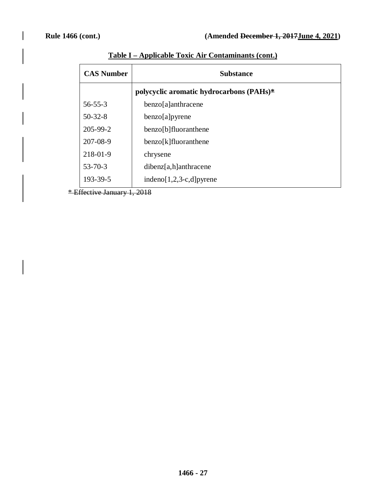| <b>CAS Number</b> | <b>Substance</b>                            |  |  |
|-------------------|---------------------------------------------|--|--|
|                   | polycyclic aromatic hydrocarbons $(PAHs)^*$ |  |  |
| $56 - 55 - 3$     | benzo[a]anthracene                          |  |  |
| $50-32-8$         | benzo[a]pyrene                              |  |  |
| 205-99-2          | benzo[b]fluoranthene                        |  |  |
| 207-08-9          | benzo[k]fluoranthene                        |  |  |
| 218-01-9          | chrysene                                    |  |  |
| $53 - 70 - 3$     | $dibenz[a,h]$ anthracene                    |  |  |
| 193-39-5          | $indeno[1,2,3-c,d]pyrene$                   |  |  |

**Table I – Applicable Toxic Air Contaminants (cont.)**

\* Effective January 1, 2018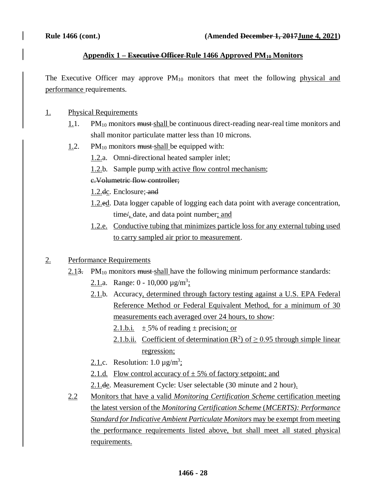### **Appendix 1 – Executive Officer Rule 1466 Approved PM10 Monitors**

The Executive Officer may approve  $PM_{10}$  monitors that meet the following physical and performance requirements.

### 1. Physical Requirements

- $1.1.$  PM<sub>10</sub> monitors must shall be continuous direct-reading near-real time monitors and shall monitor particulate matter less than 10 microns.
- 1.2. PM $_{10}$  monitors must-shall be equipped with:
	- 1.2.a. Omni-directional heated sampler inlet;
	- 1.2.b. Sample pump with active flow control mechanism;

### c.Volumetric flow controller;

- 1.2.dc. Enclosure; and
- 1.2.ed. Data logger capable of logging each data point with average concentration, time/, date, and data point number; and
- 1.2.e. Conductive tubing that minimizes particle loss for any external tubing used to carry sampled air prior to measurement.

### 2. Performance Requirements

- 2.13. PM $_{10}$  monitors must-shall have the following minimum performance standards:
	- 2.1.a. Range:  $0 10,000 \mu g/m^3$ ;
	- 2.1.b. Accuracy, determined through factory testing against a U.S. EPA Federal Reference Method or Federal Equivalent Method, for a minimum of 30 measurements each averaged over 24 hours, to show:
		- 2.1.b.i.  $\pm$  5% of reading  $\pm$  precision; or
		- 2.1.b.ii. Coefficient of determination  $(R^2)$  of  $\geq$  0.95 through simple linear regression;
	- 2.1.c. Resolution:  $1.0 \mu g/m^3$ ;
	- 2.1.d. Flow control accuracy of  $\pm$  5% of factory setpoint; and
	- 2.1.de. Measurement Cycle: User selectable (30 minute and 2 hour).
- 2.2 Monitors that have a valid *Monitoring Certification Scheme* certification meeting the latest version of the *Monitoring Certification Scheme* (*MCERTS): Performance Standard for Indicative Ambient Particulate Monitors* may be exempt from meeting the performance requirements listed above, but shall meet all stated physical requirements.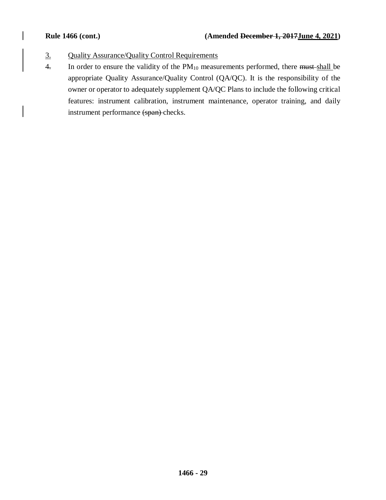- 3. Quality Assurance/Quality Control Requirements
- 4. In order to ensure the validity of the  $PM_{10}$  measurements performed, there must shall be appropriate Quality Assurance/Quality Control (QA/QC). It is the responsibility of the owner or operator to adequately supplement QA/QC Plans to include the following critical features: instrument calibration, instrument maintenance, operator training, and daily instrument performance (span) checks.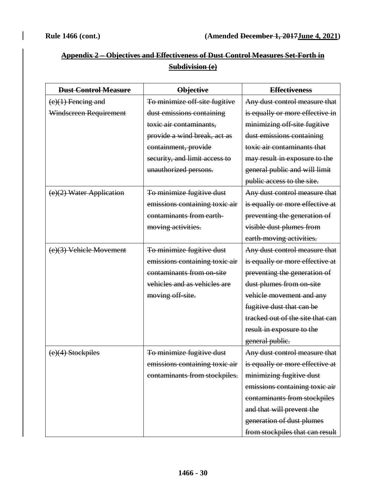|                                                     | Annondix 2. Objectives and Effectiveness of Dust Control Measures Set-Forth in<br><del>Appeniix 4 – Objectives and Enecuveness of Dust Control Measures Set-Forth in</del> |  |  |  |  |  |  |
|-----------------------------------------------------|----------------------------------------------------------------------------------------------------------------------------------------------------------------------------|--|--|--|--|--|--|
| $\int$ uhdivicion (a)<br><del>ouvurnsion te</del> l |                                                                                                                                                                            |  |  |  |  |  |  |

| <b>Dust Control Measure</b> | <b>Objective</b>               | <b>Effectiveness</b>             |
|-----------------------------|--------------------------------|----------------------------------|
| $(e)(1)$ Fencing and        | To minimize off-site fugitive  | Any dust control measure that    |
| Windscreen Requirement      | dust emissions containing      | is equally or more effective in  |
|                             | toxic air contaminants,        | minimizing off-site fugitive     |
|                             | provide a wind break, act as   | dust emissions containing        |
|                             | containment, provide           | toxic air contaminants that      |
|                             | security, and limit access to  | may result in exposure to the    |
|                             | unauthorized persons.          | general public and will limit    |
|                             |                                | public access to the site.       |
| (e)(2) Water Application    | To minimize fugitive dust      | Any dust control measure that    |
|                             | emissions containing toxic air | is equally or more effective at  |
|                             | contaminants from earth-       | preventing the generation of     |
|                             | moving activities.             | visible dust plumes from         |
|                             |                                | earth-moving activities.         |
| (e)(3) Vehicle Movement     | To minimize fugitive dust      | Any dust control measure that    |
|                             | emissions containing toxic air | is equally or more effective at  |
|                             | contaminants from on-site      | preventing the generation of     |
|                             | vehicles and as vehicles are   | dust plumes from on site         |
|                             | moving off-site.               | vehicle movement and any         |
|                             |                                | fugitive dust that can be        |
|                             |                                | tracked out of the site that can |
|                             |                                | result in exposure to the        |
|                             |                                | general public.                  |
| (e)(4) Stockpiles           | To minimize fugitive dust      | Any dust control measure that    |
|                             | emissions containing toxic air | is equally or more effective at  |
|                             | contaminants from stockpiles.  | minimizing fugitive dust         |
|                             |                                | emissions containing toxic air   |
|                             |                                | contaminants from stockpiles     |
|                             |                                | and that will prevent the        |
|                             |                                | generation of dust plumes        |
|                             |                                | from stockpiles that can result  |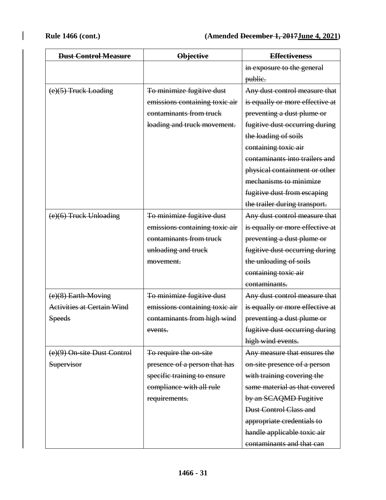| <b>Dust Control Measure</b>       | <b>Objective</b>               | <b>Effectiveness</b>            |
|-----------------------------------|--------------------------------|---------------------------------|
|                                   |                                | in exposure to the general      |
|                                   |                                | public.                         |
| $(e)(5)$ Truck Loading            | To minimize fugitive dust      | Any dust control measure that   |
|                                   | emissions containing toxic air | is equally or more effective at |
|                                   | contaminants from truck        | preventing a dust plume or      |
|                                   | loading and truck movement.    | fugitive dust occurring during  |
|                                   |                                | the loading of soils            |
|                                   |                                | containing toxic air            |
|                                   |                                | contaminants into trailers and  |
|                                   |                                | physical containment or other   |
|                                   |                                | mechanisms to minimize          |
|                                   |                                | fugitive dust from escaping     |
|                                   |                                | the trailer during transport.   |
| $(e)(6)$ Truck Unloading          | To minimize fugitive dust      | Any dust control measure that   |
|                                   | emissions containing toxic air | is equally or more effective at |
|                                   | contaminants from truck        | preventing a dust plume or      |
|                                   | unloading and truck            | fugitive dust occurring during  |
|                                   | movement.                      | the unloading of soils          |
|                                   |                                | containing toxic air            |
|                                   |                                | contaminants.                   |
| $(e)(8)$ Earth-Moving             | To minimize fugitive dust      | Any dust control measure that   |
| <b>Activities at Certain Wind</b> | emissions containing toxic air | is equally or more effective at |
| <b>Speeds</b>                     | contaminants from high wind    | preventing a dust plume or      |
|                                   | events.                        | fugitive dust occurring during  |
|                                   |                                | high wind events.               |
| (e)(9) On-site Dust Control       | To require the on-site         | Any measure that ensures the    |
| Supervisor                        | presence of a person that has  | on-site presence of a person    |
|                                   | specific training to ensure    | with training covering the      |
|                                   | compliance with all rule       | same material as that covered   |
|                                   | requirements.                  | by an SCAQMD Fugitive           |
|                                   |                                | <b>Dust Control Class and</b>   |
|                                   |                                | appropriate credentials to      |
|                                   |                                | handle applicable toxic air     |
|                                   |                                | contaminants and that can       |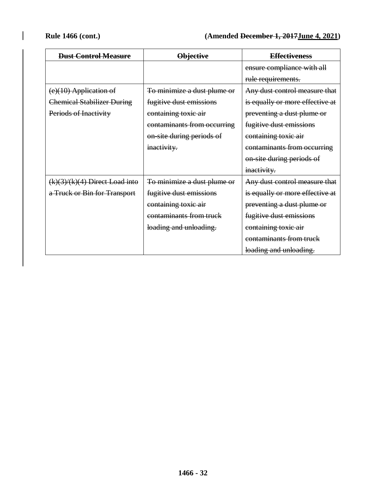| <b>Dust Control Measure</b>       | <b>Objective</b>            | <b>Effectiveness</b>            |
|-----------------------------------|-----------------------------|---------------------------------|
|                                   |                             | ensure compliance with all      |
|                                   |                             | rule requirements.              |
| $(e)(10)$ Application of          | To minimize a dust plume or | Any dust control measure that   |
| <b>Chemical Stabilizer During</b> | fugitive dust emissions     | is equally or more effective at |
| Periods of Inactivity             | containing toxic air        | preventing a dust plume or      |
|                                   | contaminants from occurring | fugitive dust emissions         |
|                                   | on-site during periods of   | containing toxic air            |
|                                   | inactivity.                 | contaminants from occurring     |
|                                   |                             | on-site during periods of       |
|                                   |                             | inactivity.                     |
| $(k)(3)/(k)(4)$ Direct Load into  | To minimize a dust plume or | Any dust control measure that   |
| a Truck or Bin for Transport      | fugitive dust emissions     | is equally or more effective at |
|                                   | containing toxic air        | preventing a dust plume or      |
|                                   | contaminants from truck     | fugitive dust emissions         |
|                                   | loading and unloading.      | containing toxic air            |
|                                   |                             | contaminants from truck         |
|                                   |                             | loading and unloading.          |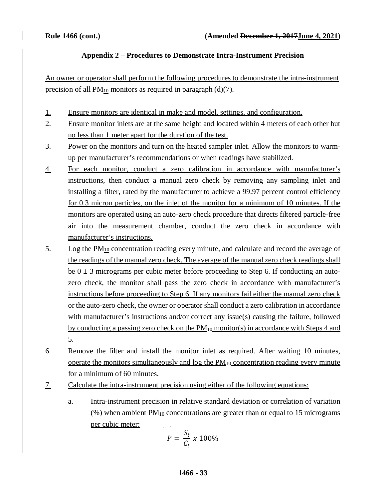## **Appendix 2 – Procedures to Demonstrate Intra-Instrument Precision**

An owner or operator shall perform the following procedures to demonstrate the intra-instrument precision of all  $PM_{10}$  monitors as required in paragraph (d)(7).

- 1. Ensure monitors are identical in make and model, settings, and configuration.
- 2. Ensure monitor inlets are at the same height and located within 4 meters of each other but no less than 1 meter apart for the duration of the test.
- 3. Power on the monitors and turn on the heated sampler inlet. Allow the monitors to warmup per manufacturer's recommendations or when readings have stabilized.
- 4. For each monitor, conduct a zero calibration in accordance with manufacturer's instructions, then conduct a manual zero check by removing any sampling inlet and installing a filter, rated by the manufacturer to achieve a 99.97 percent control efficiency for 0.3 micron particles, on the inlet of the monitor for a minimum of 10 minutes. If the monitors are operated using an auto-zero check procedure that directs filtered particle-free air into the measurement chamber, conduct the zero check in accordance with manufacturer's instructions.
- $5.$  Log the PM<sub>10</sub> concentration reading every minute, and calculate and record the average of the readings of the manual zero check. The average of the manual zero check readings shall be  $0 \pm 3$  micrograms per cubic meter before proceeding to Step 6. If conducting an autozero check, the monitor shall pass the zero check in accordance with manufacturer's instructions before proceeding to Step 6. If any monitors fail either the manual zero check or the auto-zero check, the owner or operator shall conduct a zero calibration in accordance with manufacturer's instructions and/or correct any issue(s) causing the failure, followed by conducting a passing zero check on the  $PM_{10}$  monitor(s) in accordance with Steps 4 and 5.
- 6. Remove the filter and install the monitor inlet as required. After waiting 10 minutes, operate the monitors simultaneously and  $log$  the  $PM_{10}$  concentration reading every minute for a minimum of 60 minutes.
- 7. Calculate the intra-instrument precision using either of the following equations:
	- a. Intra-instrument precision in relative standard deviation or correlation of variation  $(\%)$  when ambient PM<sub>10</sub> concentrations are greater than or equal to 15 micrograms per cubic meter:

$$
P = \frac{S_t}{C_t} \times 100\%
$$